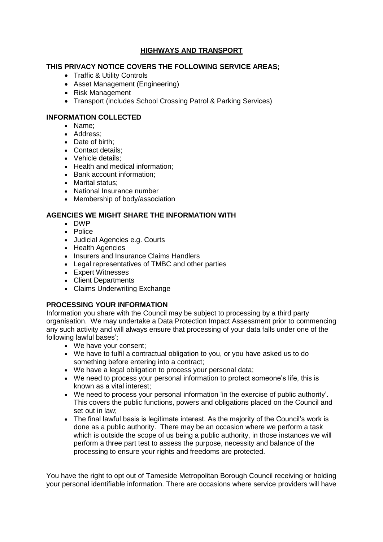# **HIGHWAYS AND TRANSPORT**

# **THIS PRIVACY NOTICE COVERS THE FOLLOWING SERVICE AREAS;**

- Traffic & Utility Controls
- Asset Management (Engineering)
- Risk Management
- Transport (includes School Crossing Patrol & Parking Services)

## **INFORMATION COLLECTED**

- Name;
- Address:
- Date of birth:
- Contact details:
- Vehicle details;
- Health and medical information:
- Bank account information;
- Marital status;
- National Insurance number
- Membership of body/association

### **AGENCIES WE MIGHT SHARE THE INFORMATION WITH**

- DWP
- Police
- Judicial Agencies e.g. Courts
- Health Agencies
- Insurers and Insurance Claims Handlers
- Legal representatives of TMBC and other parties
- Expert Witnesses
- Client Departments
- Claims Underwriting Exchange

#### **PROCESSING YOUR INFORMATION**

Information you share with the Council may be subject to processing by a third party organisation. We may undertake a Data Protection Impact Assessment prior to commencing any such activity and will always ensure that processing of your data falls under one of the following lawful bases';

- We have your consent;
- We have to fulfil a contractual obligation to you, or you have asked us to do something before entering into a contract;
- We have a legal obligation to process your personal data;
- We need to process your personal information to protect someone's life, this is known as a vital interest;
- We need to process your personal information 'in the exercise of public authority'. This covers the public functions, powers and obligations placed on the Council and set out in law;
- The final lawful basis is legitimate interest. As the majority of the Council's work is done as a public authority. There may be an occasion where we perform a task which is outside the scope of us being a public authority, in those instances we will perform a three part test to assess the purpose, necessity and balance of the processing to ensure your rights and freedoms are protected.

You have the right to opt out of Tameside Metropolitan Borough Council receiving or holding your personal identifiable information. There are occasions where service providers will have